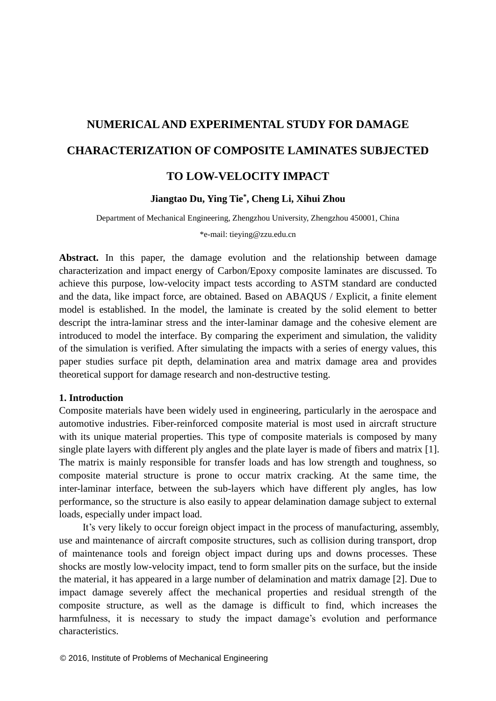# **NUMERICAL AND EXPERIMENTAL STUDY FOR DAMAGE CHARACTERIZATION OF COMPOSITE LAMINATES SUBJECTED TO LOW-VELOCITY IMPACT**

# **Jiangtao Du, Ying Tie\* , Cheng Li, Xihui Zhou**

Department of Mechanical Engineering, Zhengzhou University, Zhengzhou 450001, China

\*e-mail: [tieying@zzu.edu.cn](mailto:tieying@zzu.edu.cn)

**Abstract.** In this paper, the damage evolution and the relationship between damage characterization and impact energy of Carbon/Epoxy composite laminates are discussed. To achieve this purpose, low-velocity impact tests according to ASTM standard are conducted and the data, like impact force, are obtained. Based on ABAQUS / Explicit, a finite element model is established. In the model, the laminate is created by the solid element to better descript the intra-laminar stress and the inter-laminar damage and the cohesive element are introduced to model the interface. By comparing the experiment and simulation, the validity of the simulation is verified. After simulating the impacts with a series of energy values, this paper studies surface pit depth, delamination area and matrix damage area and provides theoretical support for damage research and non-destructive testing.

### **1. Introduction**

Composite materials have been widely used in engineering, particularly in the aerospace and automotive industries. Fiber-reinforced composite material is most used in aircraft structure with its unique material properties. This type of composite materials is composed by many single plate layers with different ply angles and the plate layer is made of fibers and matrix [1]. The matrix is mainly responsible for transfer loads and has low strength and toughness, so composite material structure is prone to occur matrix cracking. At the same time, the inter-laminar interface, between the sub-layers which have different ply angles, has low performance, so the structure is also easily to appear delamination damage subject to external loads, especially under impact load.

It's very likely to occur foreign object impact in the process of manufacturing, assembly, use and maintenance of aircraft composite structures, such as collision during transport, drop of maintenance tools and foreign object impact during ups and downs processes. These shocks are mostly low-velocity impact, tend to form smaller pits on the surface, but the inside the material, it has appeared in a large number of delamination and matrix damage [2]. Due to impact damage severely affect the mechanical properties and residual strength of the composite structure, as well as the damage is difficult to find, which increases the harmfulness, it is necessary to study the impact damage's evolution and performance characteristics.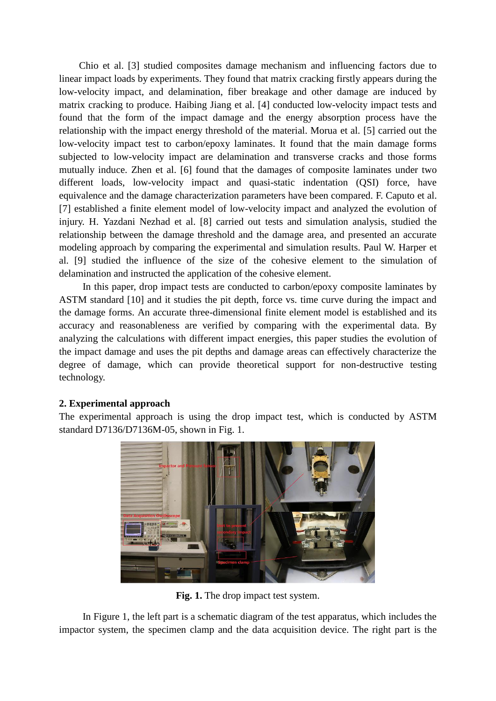Chio et al. [3] studied composites damage mechanism and influencing factors due to linear impact loads by experiments. They found that matrix cracking firstly appears during the low-velocity impact, and delamination, fiber breakage and other damage are induced by matrix cracking to produce. Haibing Jiang et al. [4] conducted low-velocity impact tests and found that the form of the impact damage and the energy absorption process have the relationship with the impact energy threshold of the material. Morua et al. [5] carried out the low-velocity impact test to carbon/epoxy laminates. It found that the main damage forms subjected to low-velocity impact are delamination and transverse cracks and those forms mutually induce. Zhen et al. [6] found that the damages of composite laminates under two different loads, low-velocity impact and quasi-static indentation (QSI) force, have equivalence and the damage characterization parameters have been compared. F. Caputo et al. [7] established a finite element model of low-velocity impact and analyzed the evolution of injury. H. Yazdani Nezhad et al. [8] carried out tests and simulation analysis, studied the relationship between the damage threshold and the damage area, and presented an accurate modeling approach by comparing the experimental and simulation results. Paul W. Harper et al. [9] studied the influence of the size of the cohesive element to the simulation of delamination and instructed the application of the cohesive element.

In this paper, drop impact tests are conducted to carbon/epoxy composite laminates by ASTM standard [10] and it studies the pit depth, force vs. time curve during the impact and the damage forms. An accurate three-dimensional finite element model is established and its accuracy and reasonableness are verified by comparing with the experimental data. By analyzing the calculations with different impact energies, this paper studies the evolution of the impact damage and uses the pit depths and damage areas can effectively characterize the degree of damage, which can provide theoretical support for non-destructive testing technology.

# **2. Experimental approach**

The experimental approach is using the drop impact test, which is conducted by ASTM standard D7136/D7136M-05, shown in Fig. 1.



**Fig. 1.** The drop impact test system.

In Figure 1, the left part is a schematic diagram of the test apparatus, which includes the impactor system, the specimen clamp and the data acquisition device. The right part is the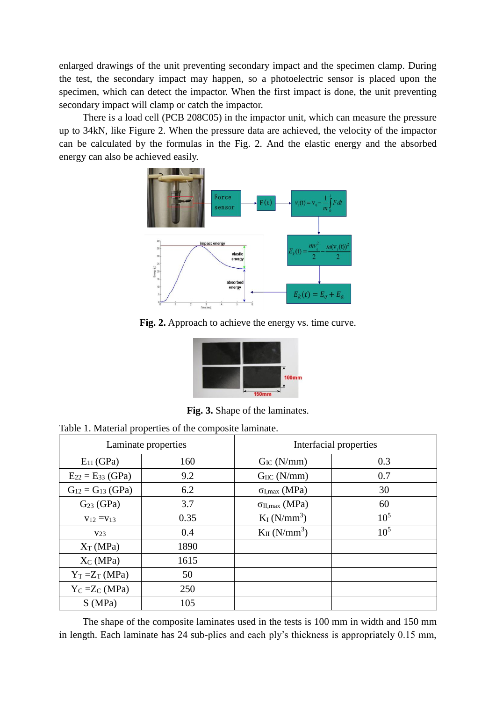enlarged drawings of the unit preventing secondary impact and the specimen clamp. During the test, the secondary impact may happen, so a photoelectric sensor is placed upon the specimen, which can detect the impactor. When the first impact is done, the unit preventing secondary impact will clamp or catch the impactor.

There is a load cell (PCB 208C05) in the impactor unit, which can measure the pressure up to 34kN, like Figure 2. When the pressure data are achieved, the velocity of the impactor can be calculated by the formulas in the Fig. 2. And the elastic energy and the absorbed energy can also be achieved easily.



**Fig. 2.** Approach to achieve the energy vs. time curve.



**Fig. 3.** Shape of the laminates.

|  |  | Table 1. Material properties of the composite laminate. |  |
|--|--|---------------------------------------------------------|--|
|--|--|---------------------------------------------------------|--|

| Laminate properties     |      | Interfacial properties        |          |
|-------------------------|------|-------------------------------|----------|
| $E_{11}$ (GPa)          | 160  | $G_{IC}$ (N/mm)               | 0.3      |
| $E_{22} = E_{33}$ (GPa) | 9.2  | $G_{\text{HC}}$ (N/mm)        | 0.7      |
| $G_{12} = G_{13}$ (GPa) | 6.2  | $\sigma_{I, max}$ (MPa)       | 30       |
| $G23$ (GPa)             | 3.7  | $\sigma_{II,max}$ (MPa)       | 60       |
| $V_{12} = V_{13}$       | 0.35 | $K_I$ (N/mm <sup>3</sup> )    | $10^{5}$ |
| V <sub>23</sub>         | 0.4  | $K_{II}$ (N/mm <sup>3</sup> ) | $10^{5}$ |
| $X_T(MPa)$              | 1890 |                               |          |
| $X_C(MPa)$              | 1615 |                               |          |
| $Y_T = Z_T$ (MPa)       | 50   |                               |          |
| $Y_C = Z_C (MPa)$       | 250  |                               |          |
| S(MPa)                  | 105  |                               |          |

The shape of the composite laminates used in the tests is 100 mm in width and 150 mm in length. Each laminate has 24 sub-plies and each ply's thickness is appropriately 0.15 mm,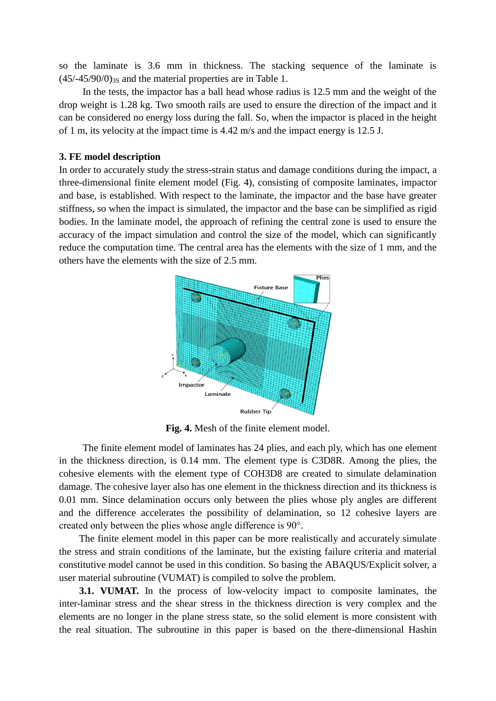so the laminate is 3.6 mm in thickness. The stacking sequence of the laminate is  $(45/-45/90/0)_{3s}$  and the material properties are in Table 1.

In the tests, the impactor has a ball head whose radius is 12.5 mm and the weight of the drop weight is 1.28 kg. Two smooth rails are used to ensure the direction of the impact and it can be considered no energy loss during the fall. So, when the impactor is placed in the height of 1 m, its velocity at the impact time is 4.42 m/s and the impact energy is 12.5 J.

### **3. FE model description**

In order to accurately study the stress-strain status and damage conditions during the impact, a three-dimensional finite element model (Fig. 4), consisting of composite laminates, impactor and base, is established. With respect to the laminate, the impactor and the base have greater stiffness, so when the impact is simulated, the impactor and the base can be simplified as rigid bodies. In the laminate model, the approach of refining the central zone is used to ensure the accuracy of the impact simulation and control the size of the model, which can significantly reduce the computation time. The central area has the elements with the size of 1 mm, and the others have the elements with the size of 2.5 mm.



**Fig. 4.** Mesh of the finite element model.

The finite element model of laminates has 24 plies, and each ply, which has one element in the thickness direction, is 0.14 mm. The element type is C3D8R. Among the plies, the cohesive elements with the element type of COH3D8 are created to simulate delamination damage. The cohesive layer also has one element in the thickness direction and its thickness is 0.01 mm. Since delamination occurs only between the plies whose ply angles are different and the difference accelerates the possibility of delamination, so 12 cohesive layers are created only between the plies whose angle difference is 90°.

The finite element model in this paper can be more realistically and accurately simulate the stress and strain conditions of the laminate, but the existing failure criteria and material constitutive model cannot be used in this condition. So basing the ABAQUS/Explicit solver, a user material subroutine (VUMAT) is compiled to solve the problem.

**3.1. VUMAT.** In the process of low-velocity impact to composite laminates, the inter-laminar stress and the shear stress in the thickness direction is very complex and the elements are no longer in the plane stress state, so the solid element is more consistent with the real situation. The subroutine in this paper is based on the there-dimensional Hashin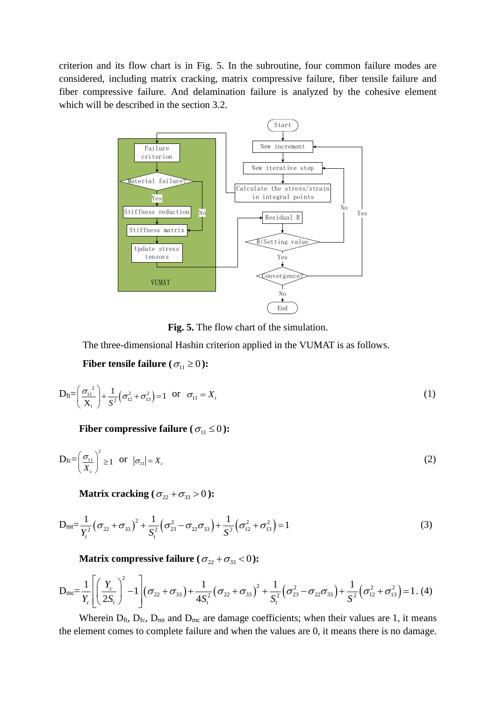criterion and its flow chart is in Fig. 5. In the subroutine, four common failure modes are considered, including matrix cracking, matrix compressive failure, fiber tensile failure and fiber compressive failure. And delamination failure is analyzed by the cohesive element which will be described in the section 3.2.



**Fig. 5.** The flow chart of the simulation.

The three-dimensional Hashin criterion applied in the VUMAT is as follows.

Fiber tensile failure ( $\sigma_{11} \ge 0$ ):

$$
D_{\text{ft}} = \left(\frac{\sigma_{11}^{2}}{X_{t}}\right) + \frac{1}{S^{2}}\left(\sigma_{12}^{2} + \sigma_{13}^{2}\right) = 1 \quad \text{or} \quad \sigma_{11} = X_{t}
$$
\n(1)

Fiber compressive failure ( $\sigma_{11} \le 0$ ):

$$
D_{\text{fc}} = \left(\frac{\sigma_{11}}{X_c}\right)^2 \ge 1 \quad \text{or} \quad |\sigma_{11}| = X_c \tag{2}
$$

Matrix cracking 
$$
(\sigma_{22} + \sigma_{33} > 0)
$$
:  
\n
$$
D_{mt} = \frac{1}{Y_t^2} (\sigma_{22} + \sigma_{33})^2 + \frac{1}{S_t^2} (\sigma_{23}^2 - \sigma_{22} \sigma_{33}) + \frac{1}{S^2} (\sigma_{12}^2 + \sigma_{13}^2) = 1
$$
\n(3)

**Matrix compressive failure** 
$$
(\sigma_{22} + \sigma_{33} < 0)
$$
:  
\n
$$
D_{\text{mc}} = \frac{1}{Y_c} \left[ \left( \frac{Y_c}{2S_t} \right)^2 - 1 \right] (\sigma_{22} + \sigma_{33}) + \frac{1}{4S_t^2} (\sigma_{22} + \sigma_{33})^2 + \frac{1}{S_t^2} (\sigma_{23}^2 - \sigma_{22} \sigma_{33}) + \frac{1}{S^2} (\sigma_{12}^2 + \sigma_{13}^2) = 1. (4)
$$
\nWhen in D. D. and D. and increase coefficients when this values are 1, it means

Wherein  $D_{ft}$ ,  $D_{fc}$ ,  $D_{mt}$  and  $D_{mc}$  are damage coefficients; when their values are 1, it means the element comes to complete failure and when the values are 0, it means there is no damage.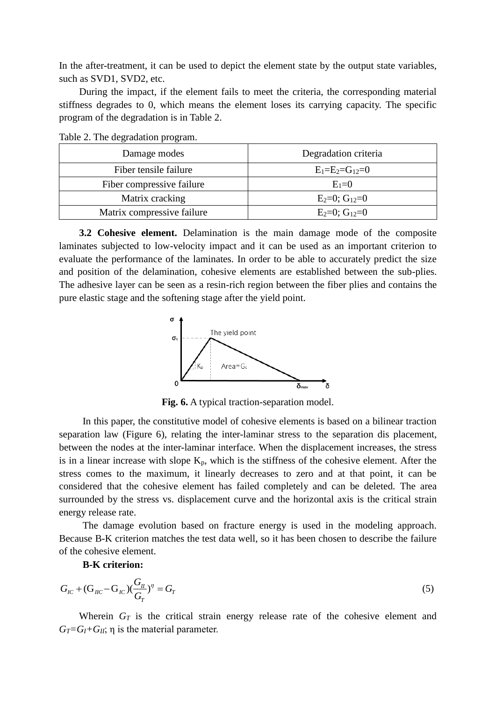In the after-treatment, it can be used to depict the element state by the output state variables, such as SVD1, SVD2, etc.

During the impact, if the element fails to meet the criteria, the corresponding material stiffness degrades to 0, which means the element loses its carrying capacity. The specific program of the degradation is in Table 2.

| Damage modes               | Degradation criteria |  |
|----------------------------|----------------------|--|
| Fiber tensile failure      | $E_1=E_2=G_{12}=0$   |  |
| Fiber compressive failure  | $E_1=0$              |  |
| Matrix cracking            | $E_2=0$ ; $G_{12}=0$ |  |
| Matrix compressive failure | $E_2=0$ ; $G_{12}=0$ |  |

Table 2. The degradation program.

**3.2 Cohesive element.** Delamination is the main damage mode of the composite laminates subjected to low-velocity impact and it can be used as an important criterion to evaluate the performance of the laminates. In order to be able to accurately predict the size and position of the delamination, cohesive elements are established between the sub-plies. The adhesive layer can be seen as a resin-rich region between the fiber plies and contains the pure elastic stage and the softening stage after the yield point.



**Fig. 6.** A typical traction-separation model.

In this paper, the constitutive model of cohesive elements is based on a bilinear traction separation law (Figure 6), relating the inter-laminar stress to the separation dis placement, between the nodes at the inter-laminar interface. When the displacement increases, the stress is in a linear increase with slope  $K_p$ , which is the stiffness of the cohesive element. After the stress comes to the maximum, it linearly decreases to zero and at that point, it can be considered that the cohesive element has failed completely and can be deleted. The area surrounded by the stress vs. displacement curve and the horizontal axis is the critical strain energy release rate.

The damage evolution based on fracture energy is used in the modeling approach. Because B-K criterion matches the test data well, so it has been chosen to describe the failure of the cohesive element.

## **B-K criterion:**

$$
G_{IC} + (G_{IC} - G_{IC})(\frac{G_{II}}{G_T})^{\eta} = G_T
$$
\n(5)

Wherein  $G_T$  is the critical strain energy release rate of the cohesive element and  $G_T = G_I + G_{II}$ ;  $\eta$  is the material parameter.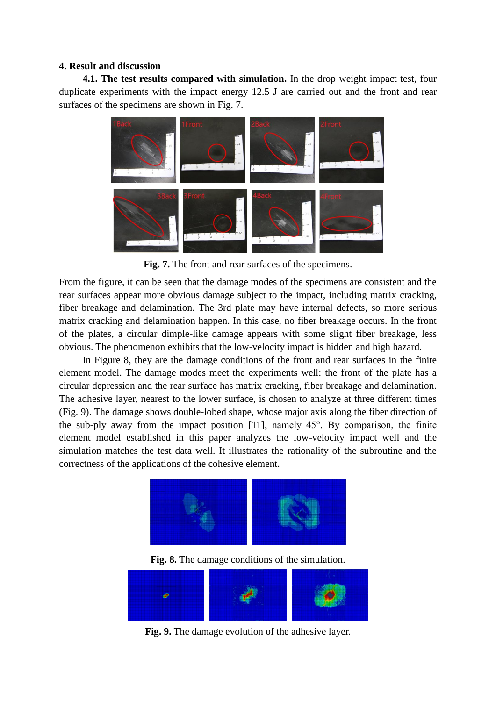## **4. Result and discussion**

**4.1. The test results compared with simulation.** In the drop weight impact test, four duplicate experiments with the impact energy 12.5 J are carried out and the front and rear surfaces of the specimens are shown in Fig. 7.



**Fig. 7.** The front and rear surfaces of the specimens.

From the figure, it can be seen that the damage modes of the specimens are consistent and the rear surfaces appear more obvious damage subject to the impact, including matrix cracking, fiber breakage and delamination. The 3rd plate may have internal defects, so more serious matrix cracking and delamination happen. In this case, no fiber breakage occurs. In the front of the plates, a circular dimple-like damage appears with some slight fiber breakage, less obvious. The phenomenon exhibits that the low-velocity impact is hidden and high hazard.

In Figure 8, they are the damage conditions of the front and rear surfaces in the finite element model. The damage modes meet the experiments well: the front of the plate has a circular depression and the rear surface has matrix cracking, fiber breakage and delamination. The adhesive layer, nearest to the lower surface, is chosen to analyze at three different times (Fig. 9). The damage shows double-lobed shape, whose major axis along the fiber direction of the sub-ply away from the impact position [11], namely 45°. By comparison, the finite element model established in this paper analyzes the low-velocity impact well and the simulation matches the test data well. It illustrates the rationality of the subroutine and the correctness of the applications of the cohesive element.



**Fig. 8.** The damage conditions of the simulation.



**Fig. 9.** The damage evolution of the adhesive layer.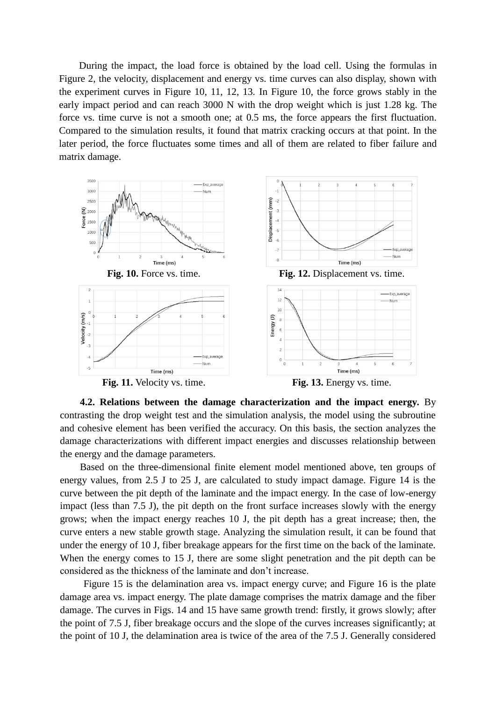During the impact, the load force is obtained by the load cell. Using the formulas in Figure 2, the velocity, displacement and energy vs. time curves can also display, shown with the experiment curves in Figure 10, 11, 12, 13. In Figure 10, the force grows stably in the early impact period and can reach 3000 N with the drop weight which is just 1.28 kg. The force vs. time curve is not a smooth one; at 0.5 ms, the force appears the first fluctuation. Compared to the simulation results, it found that matrix cracking occurs at that point. In the later period, the force fluctuates some times and all of them are related to fiber failure and matrix damage.



**Fig. 11.** Velocity vs. time.



**4.2. Relations between the damage characterization and the impact energy.** By contrasting the drop weight test and the simulation analysis, the model using the subroutine and cohesive element has been verified the accuracy. On this basis, the section analyzes the damage characterizations with different impact energies and discusses relationship between the energy and the damage parameters.

Based on the three-dimensional finite element model mentioned above, ten groups of energy values, from 2.5 J to 25 J, are calculated to study impact damage. Figure 14 is the curve between the pit depth of the laminate and the impact energy. In the case of low-energy impact (less than 7.5 J), the pit depth on the front surface increases slowly with the energy grows; when the impact energy reaches 10 J, the pit depth has a great increase; then, the curve enters a new stable growth stage. Analyzing the simulation result, it can be found that under the energy of 10 J, fiber breakage appears for the first time on the back of the laminate. When the energy comes to 15 J, there are some slight penetration and the pit depth can be considered as the thickness of the laminate and don't increase.

Figure 15 is the delamination area vs. impact energy curve; and Figure 16 is the plate damage area vs. impact energy. The plate damage comprises the matrix damage and the fiber damage. The curves in Figs. 14 and 15 have same growth trend: firstly, it grows slowly; after the point of 7.5 J, fiber breakage occurs and the slope of the curves increases significantly; at the point of 10 J, the delamination area is twice of the area of the 7.5 J. Generally considered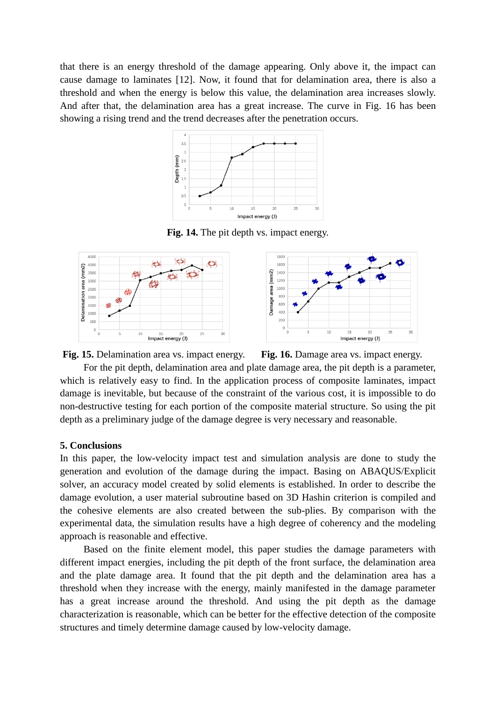that there is an energy threshold of the damage appearing. Only above it, the impact can cause damage to laminates [12]. Now, it found that for delamination area, there is also a threshold and when the energy is below this value, the delamination area increases slowly. And after that, the delamination area has a great increase. The curve in Fig. 16 has been showing a rising trend and the trend decreases after the penetration occurs.



**Fig. 14.** The pit depth vs. impact energy.



**Fig. 15.** Delamination area vs. impact energy. **Fig. 16.** Damage area vs. impact energy.

For the pit depth, delamination area and plate damage area, the pit depth is a parameter, which is relatively easy to find. In the application process of composite laminates, impact damage is inevitable, but because of the constraint of the various cost, it is impossible to do non-destructive testing for each portion of the composite material structure. So using the pit depth as a preliminary judge of the damage degree is very necessary and reasonable.

# **5. Conclusions**

In this paper, the low-velocity impact test and simulation analysis are done to study the generation and evolution of the damage during the impact. Basing on ABAQUS/Explicit solver, an accuracy model created by solid elements is established. In order to describe the damage evolution, a user material subroutine based on 3D Hashin criterion is compiled and the cohesive elements are also created between the sub-plies. By comparison with the experimental data, the simulation results have a high degree of coherency and the modeling approach is reasonable and effective.

Based on the finite element model, this paper studies the damage parameters with different impact energies, including the pit depth of the front surface, the delamination area and the plate damage area. It found that the pit depth and the delamination area has a threshold when they increase with the energy, mainly manifested in the damage parameter has a great increase around the threshold. And using the pit depth as the damage characterization is reasonable, which can be better for the effective detection of the composite structures and timely determine damage caused by low-velocity damage.